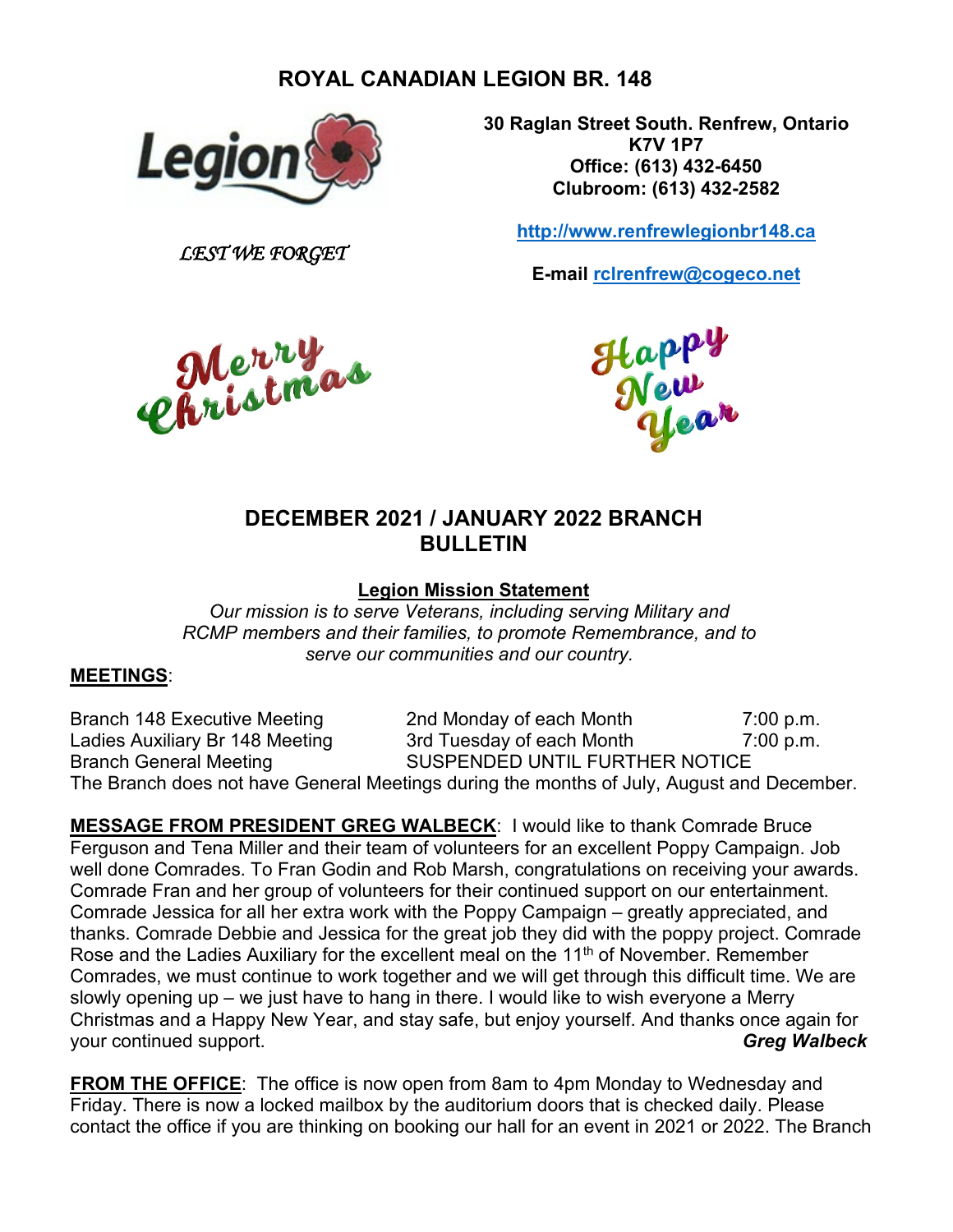# **ROYAL CANADIAN LEGION BR. 148**



*LEST WE FORGET*

Christmas

**30 Raglan Street South. Renfrew, Ontario K7V 1P7 Office: (613) 432-6450 Clubroom: (613) 432-2582**

**[http://www.renfrewlegionbr148.ca](http://www.renfrewlegionbr148.ca/)**

**E-mail [rclrenfrew@cogeco.net](mailto:rclrenfrew@cogeco.net)**



## **DECEMBER 2021 / JANUARY 2022 BRANCH BULLETIN**

#### **Legion Mission Statement**

*Our mission is to serve Veterans, including serving Military and RCMP members and their families, to promote Remembrance, and to serve our communities and our country.*

### **MEETINGS**:

Branch 148 Executive Meeting 2nd Monday of each Month 7:00 p.m. Ladies Auxiliary Br 148 Meeting 3rd Tuesday of each Month 7:00 p.m. Branch General Meeting SUSPENDED UNTIL FURTHER NOTICE The Branch does not have General Meetings during the months of July, August and December.

**MESSAGE FROM PRESIDENT GREG WALBECK**: I would like to thank Comrade Bruce Ferguson and Tena Miller and their team of volunteers for an excellent Poppy Campaign. Job well done Comrades. To Fran Godin and Rob Marsh, congratulations on receiving your awards. Comrade Fran and her group of volunteers for their continued support on our entertainment. Comrade Jessica for all her extra work with the Poppy Campaign – greatly appreciated, and thanks. Comrade Debbie and Jessica for the great job they did with the poppy project. Comrade Rose and the Ladies Auxiliary for the excellent meal on the 11<sup>th</sup> of November. Remember Comrades, we must continue to work together and we will get through this difficult time. We are slowly opening up – we just have to hang in there. I would like to wish everyone a Merry Christmas and a Happy New Year, and stay safe, but enjoy yourself. And thanks once again for your continued support. *Greg Walbeck*

**FROM THE OFFICE**: The office is now open from 8am to 4pm Monday to Wednesday and Friday. There is now a locked mailbox by the auditorium doors that is checked daily. Please contact the office if you are thinking on booking our hall for an event in 2021 or 2022. The Branch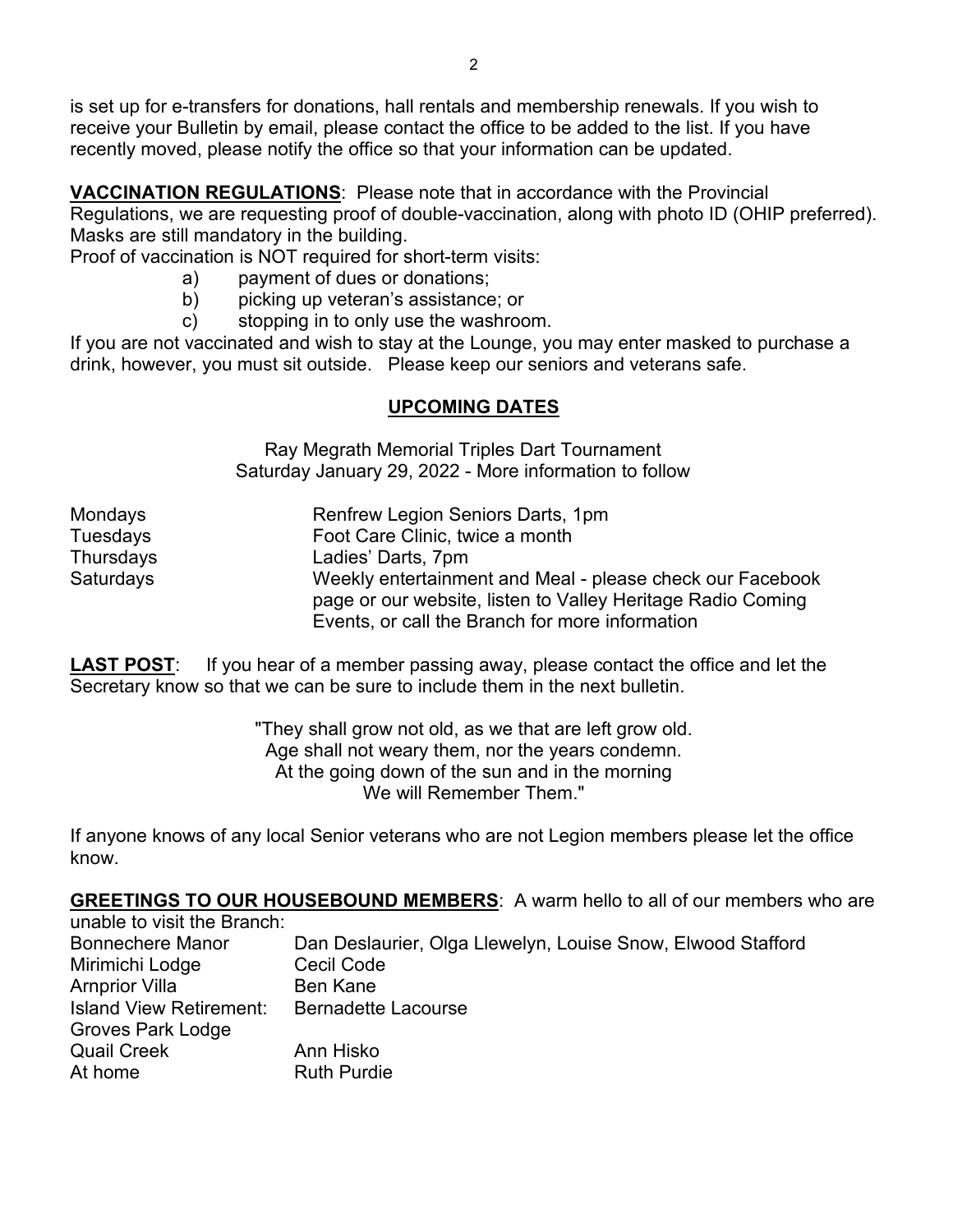is set up for e-transfers for donations, hall rentals and membership renewals. If you wish to receive your Bulletin by email, please contact the office to be added to the list. If you have recently moved, please notify the office so that your information can be updated.

**VACCINATION REGULATIONS**: Please note that in accordance with the Provincial Regulations, we are requesting proof of double-vaccination, along with photo ID (OHIP preferred). Masks are still mandatory in the building.

Proof of vaccination is NOT required for short-term visits:

- a) payment of dues or donations;
- b) picking up veteran's assistance; or
- c) stopping in to only use the washroom.

If you are not vaccinated and wish to stay at the Lounge, you may enter masked to purchase a drink, however, you must sit outside. Please keep our seniors and veterans safe.

## **UPCOMING DATES**

Ray Megrath Memorial Triples Dart Tournament Saturday January 29, 2022 - More information to follow

| Mondays   | Renfrew Legion Seniors Darts, 1pm                                                                                        |
|-----------|--------------------------------------------------------------------------------------------------------------------------|
| Tuesdays  | Foot Care Clinic, twice a month                                                                                          |
| Thursdays | Ladies' Darts, 7pm                                                                                                       |
| Saturdays | Weekly entertainment and Meal - please check our Facebook<br>page or our website, listen to Valley Heritage Radio Coming |
|           | Events, or call the Branch for more information                                                                          |

LAST POST: If you hear of a member passing away, please contact the office and let the Secretary know so that we can be sure to include them in the next bulletin.

> "They shall grow not old, as we that are left grow old. Age shall not weary them, nor the years condemn. At the going down of the sun and in the morning We will Remember Them."

If anyone knows of any local Senior veterans who are not Legion members please let the office know.

**GREETINGS TO OUR HOUSEBOUND MEMBERS**: A warm hello to all of our members who are unable to visit the Branch:

| unable to visit the Diangh.    |                                                             |
|--------------------------------|-------------------------------------------------------------|
| <b>Bonnechere Manor</b>        | Dan Deslaurier, Olga Llewelyn, Louise Snow, Elwood Stafford |
| Mirimichi Lodge                | Cecil Code                                                  |
| <b>Arnprior Villa</b>          | <b>Ben Kane</b>                                             |
| <b>Island View Retirement:</b> | <b>Bernadette Lacourse</b>                                  |
| <b>Groves Park Lodge</b>       |                                                             |
| <b>Quail Creek</b>             | Ann Hisko                                                   |
| At home                        | <b>Ruth Purdie</b>                                          |
|                                |                                                             |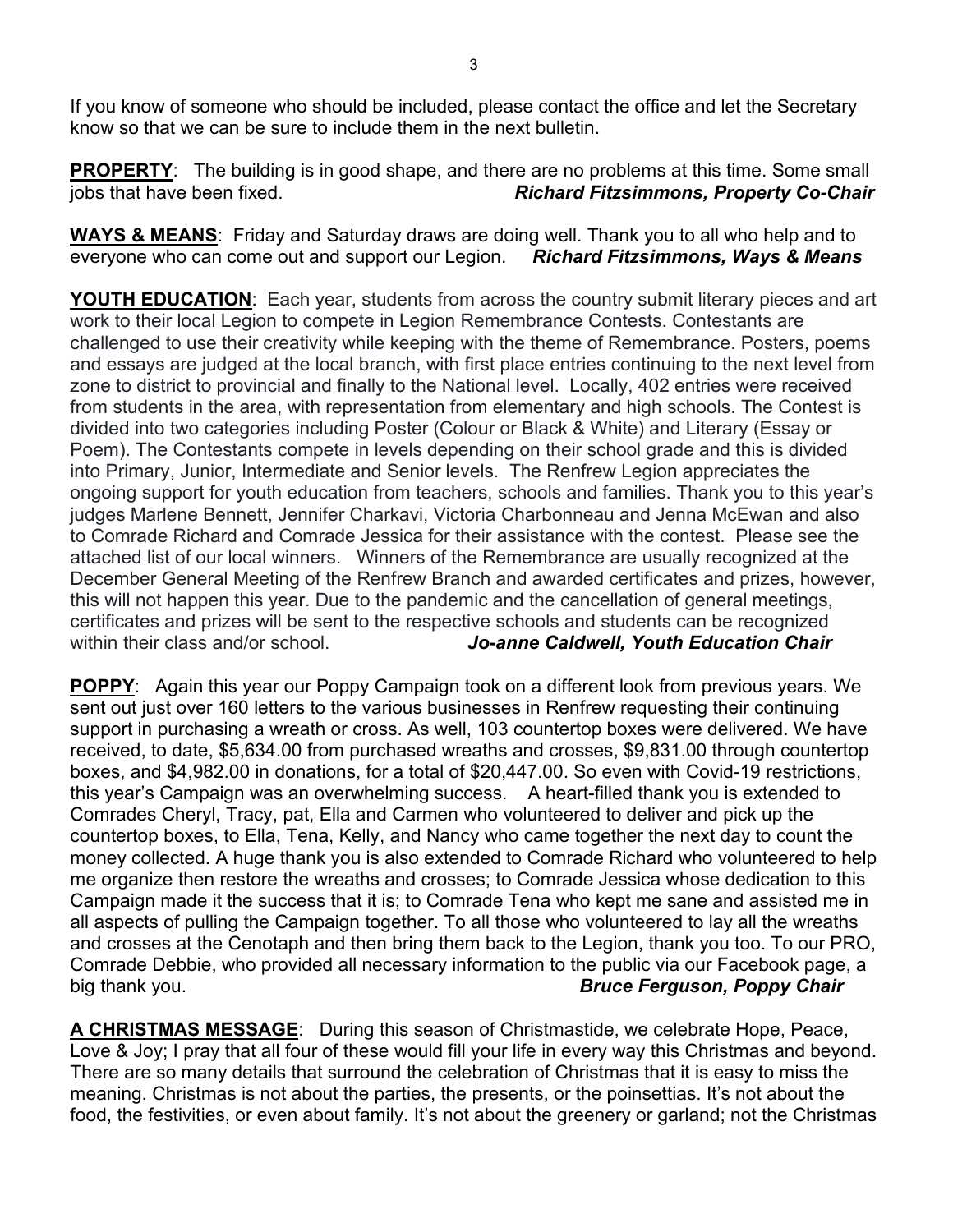If you know of someone who should be included, please contact the office and let the Secretary know so that we can be sure to include them in the next bulletin.

**PROPERTY**: The building is in good shape, and there are no problems at this time. Some small **Richard Fitzsimmons, Property Co-Chair** 

**WAYS & MEANS**: Friday and Saturday draws are doing well. Thank you to all who help and to everyone who can come out and support our Legion. *Richard Fitzsimmons, Ways & Means*

**YOUTH EDUCATION**: Each year, students from across the country submit literary pieces and art work to their local Legion to compete in Legion Remembrance Contests. Contestants are challenged to use their creativity while keeping with the theme of Remembrance. Posters, poems and essays are judged at the local branch, with first place entries continuing to the next level from zone to district to provincial and finally to the National level. Locally, 402 entries were received from students in the area, with representation from elementary and high schools. The Contest is divided into two categories including Poster (Colour or Black & White) and Literary (Essay or Poem). The Contestants compete in levels depending on their school grade and this is divided into Primary, Junior, Intermediate and Senior levels. The Renfrew Legion appreciates the ongoing support for youth education from teachers, schools and families. Thank you to this year's judges Marlene Bennett, Jennifer Charkavi, Victoria Charbonneau and Jenna McEwan and also to Comrade Richard and Comrade Jessica for their assistance with the contest. Please see the attached list of our local winners. Winners of the Remembrance are usually recognized at the December General Meeting of the Renfrew Branch and awarded certificates and prizes, however, this will not happen this year. Due to the pandemic and the cancellation of general meetings, certificates and prizes will be sent to the respective schools and students can be recognized<br>within their class and/or school. **Jo-anne Caldwell. Youth Education Chair Jo-anne Caldwell, Youth Education Chair** 

**POPPY**: Again this year our Poppy Campaign took on a different look from previous years. We sent out just over 160 letters to the various businesses in Renfrew requesting their continuing support in purchasing a wreath or cross. As well, 103 countertop boxes were delivered. We have received, to date, \$5,634.00 from purchased wreaths and crosses, \$9,831.00 through countertop boxes, and \$4,982.00 in donations, for a total of \$20,447.00. So even with Covid-19 restrictions, this year's Campaign was an overwhelming success. A heart-filled thank you is extended to Comrades Cheryl, Tracy, pat, Ella and Carmen who volunteered to deliver and pick up the countertop boxes, to Ella, Tena, Kelly, and Nancy who came together the next day to count the money collected. A huge thank you is also extended to Comrade Richard who volunteered to help me organize then restore the wreaths and crosses; to Comrade Jessica whose dedication to this Campaign made it the success that it is; to Comrade Tena who kept me sane and assisted me in all aspects of pulling the Campaign together. To all those who volunteered to lay all the wreaths and crosses at the Cenotaph and then bring them back to the Legion, thank you too. To our PRO, Comrade Debbie, who provided all necessary information to the public via our Facebook page, a big thank you. *Bruce Ferguson, Poppy Chair*

**A CHRISTMAS MESSAGE**: During this season of Christmastide, we celebrate Hope, Peace, Love & Joy; I pray that all four of these would fill your life in every way this Christmas and beyond. There are so many details that surround the celebration of Christmas that it is easy to miss the meaning. Christmas is not about the parties, the presents, or the poinsettias. It's not about the food, the festivities, or even about family. It's not about the greenery or garland; not the Christmas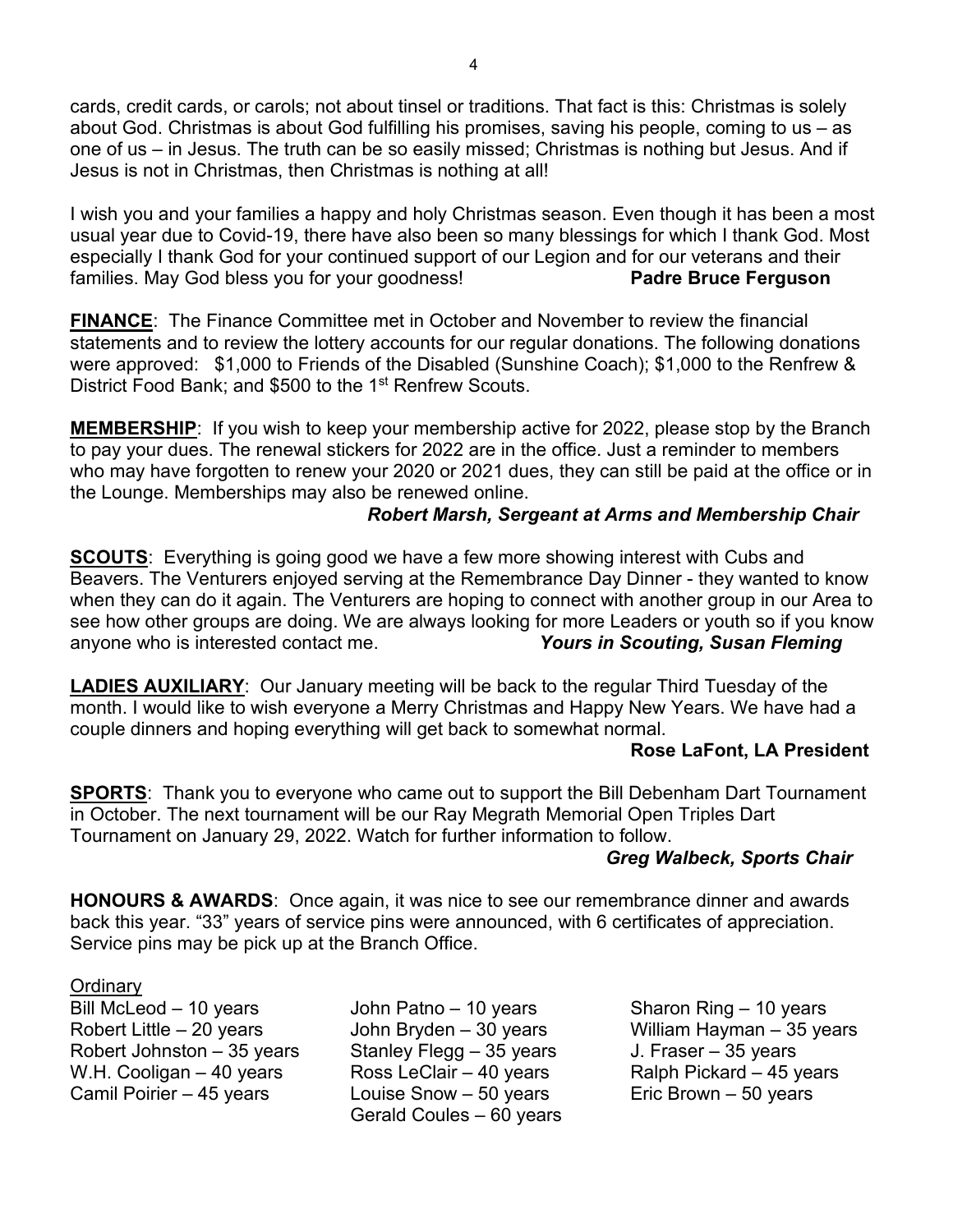4

cards, credit cards, or carols; not about tinsel or traditions. That fact is this: Christmas is solely about God. Christmas is about God fulfilling his promises, saving his people, coming to us – as one of us – in Jesus. The truth can be so easily missed; Christmas is nothing but Jesus. And if Jesus is not in Christmas, then Christmas is nothing at all!

I wish you and your families a happy and holy Christmas season. Even though it has been a most usual year due to Covid-19, there have also been so many blessings for which I thank God. Most especially I thank God for your continued support of our Legion and for our veterans and their families. May God bless you for your goodness! **Padre Bruce Ferguson**

**FINANCE**: The Finance Committee met in October and November to review the financial statements and to review the lottery accounts for our regular donations. The following donations were approved: \$1,000 to Friends of the Disabled (Sunshine Coach); \$1,000 to the Renfrew & District Food Bank; and \$500 to the 1<sup>st</sup> Renfrew Scouts.

**MEMBERSHIP**: If you wish to keep your membership active for 2022, please stop by the Branch to pay your dues. The renewal stickers for 2022 are in the office. Just a reminder to members who may have forgotten to renew your 2020 or 2021 dues, they can still be paid at the office or in the Lounge. Memberships may also be renewed online.

## *Robert Marsh, Sergeant at Arms and Membership Chair*

**SCOUTS**: Everything is going good we have a few more showing interest with Cubs and Beavers. The Venturers enjoyed serving at the Remembrance Day Dinner - they wanted to know when they can do it again. The Venturers are hoping to connect with another group in our Area to see how other groups are doing. We are always looking for more Leaders or youth so if you know<br>anvone who is interested contact me. **Yours in Scouting. Susan Fleming** anyone who is interested contact me.

**LADIES AUXILIARY**: Our January meeting will be back to the regular Third Tuesday of the month. I would like to wish everyone a Merry Christmas and Happy New Years. We have had a couple dinners and hoping everything will get back to somewhat normal.

#### **Rose LaFont, LA President**

**SPORTS**: Thank you to everyone who came out to support the Bill Debenham Dart Tournament in October. The next tournament will be our Ray Megrath Memorial Open Triples Dart Tournament on January 29, 2022. Watch for further information to follow.

## *Greg Walbeck, Sports Chair*

**HONOURS & AWARDS**: Once again, it was nice to see our remembrance dinner and awards back this year. "33" years of service pins were announced, with 6 certificates of appreciation. Service pins may be pick up at the Branch Office.

#### **Ordinary**

Bill McLeod – 10 years John Patno – 10 years Sharon Ring – 10 years<br>Robert Little – 20 years John Bryden – 30 years William Hayman – 35 ye Robert Johnston – 35 years Stanley Flegg – 35 years J. Fraser – 35 years<br>W.H. Cooligan – 40 years Ross LeClair – 40 years Ralph Pickard – 45 years W.H. Cooligan – 40 years Ross LeClair – 40 years<br>Camil Poirier – 45 years Louise Snow – 50 years Camil Poirier – 45 years Louise Snow – 50 years Eric Brown – 50 years

Gerald Coules – 60 years

Robert Little – 20 years John Bryden – 30 years William Hayman – 35 years<br>Robert Johnston – 35 years Stanley Flegg – 35 years J. Fraser – 35 years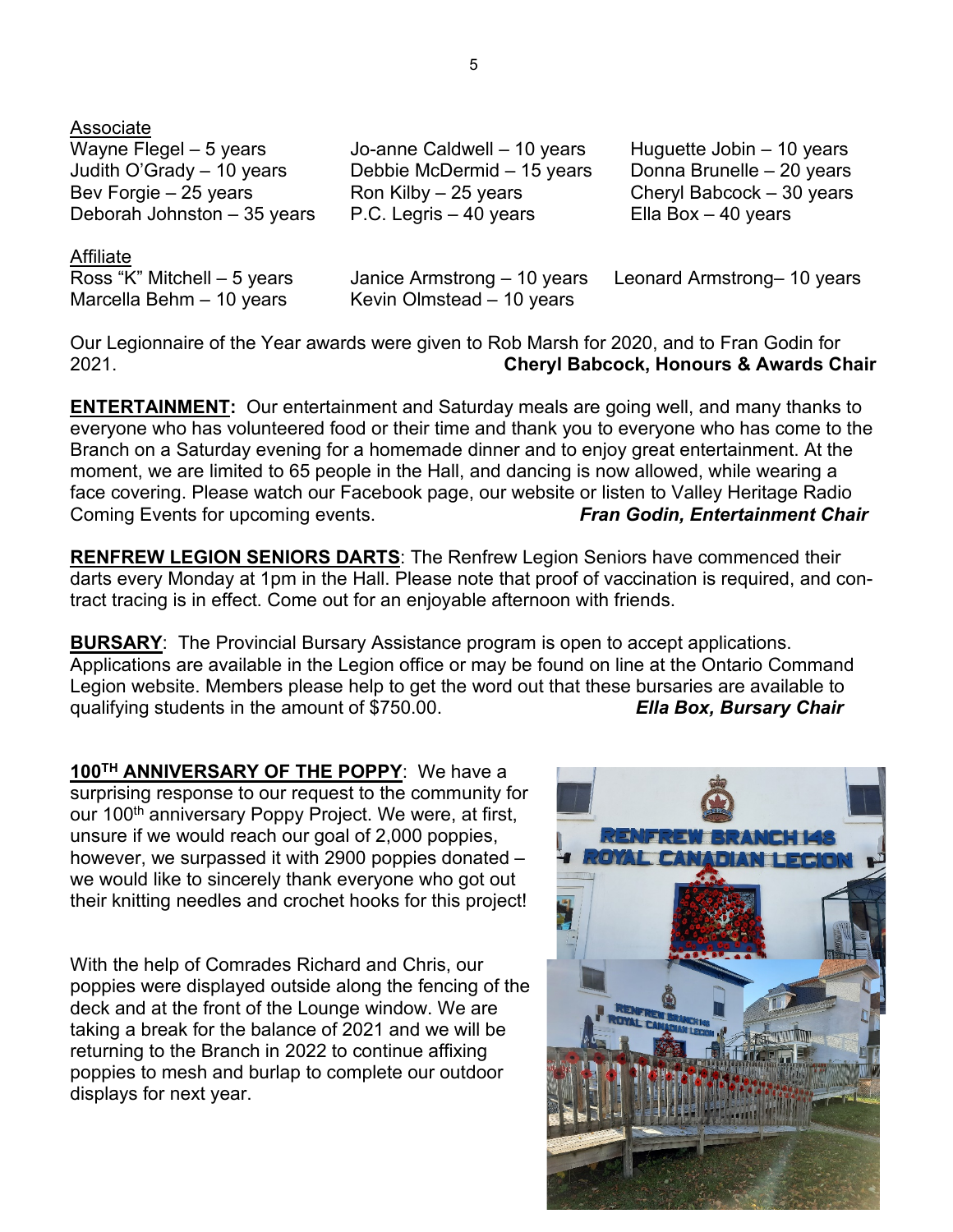Associate Wayne Flegel – 5 years Jo-anne Caldwell – 10 years Huguette Jobin – 10 years Judith O'Grady – 10 years Debbie McDermid – 15 years Donna Brunelle – 20 years Bev Forgie – 25 years  $\sim$  Ron Kilby – 25 years  $\sim$  Cheryl Babcock – 30 years Deborah Johnston – 35 years P.C. Legris – 40 years Ella Box – 40 years

Affiliate<br>Ross "K" Mitchell – 5 years Marcella Behm – 10 years Kevin Olmstead – 10 years

Janice Armstrong – 10 years Leonard Armstrong– 10 years

Our Legionnaire of the Year awards were given to Rob Marsh for 2020, and to Fran Godin for 2021. **Cheryl Babcock, Honours & Awards Chair**

**ENTERTAINMENT:** Our entertainment and Saturday meals are going well, and many thanks to everyone who has volunteered food or their time and thank you to everyone who has come to the Branch on a Saturday evening for a homemade dinner and to enjoy great entertainment. At the moment, we are limited to 65 people in the Hall, and dancing is now allowed, while wearing a face covering. Please watch our Facebook page, our website or listen to Valley Heritage Radio Coming Events for upcoming events. *Fran Godin, Entertainment Chair*

**RENFREW LEGION SENIORS DARTS**: The Renfrew Legion Seniors have commenced their darts every Monday at 1pm in the Hall. Please note that proof of vaccination is required, and contract tracing is in effect. Come out for an enjoyable afternoon with friends.

**BURSARY**: The Provincial Bursary Assistance program is open to accept applications. Applications are available in the Legion office or may be found on line at the Ontario Command Legion website. Members please help to get the word out that these bursaries are available to qualifying students in the amount of \$750.00. *Ella Box, Bursary Chair*

**100TH ANNIVERSARY OF THE POPPY**: We have a surprising response to our request to the community for our 100<sup>th</sup> anniversary Poppy Project. We were, at first, unsure if we would reach our goal of 2,000 poppies, however, we surpassed it with 2900 poppies donated – we would like to sincerely thank everyone who got out their knitting needles and crochet hooks for this project!

With the help of Comrades Richard and Chris, our poppies were displayed outside along the fencing of the deck and at the front of the Lounge window. We are taking a break for the balance of 2021 and we will be returning to the Branch in 2022 to continue affixing poppies to mesh and burlap to complete our outdoor displays for next year.

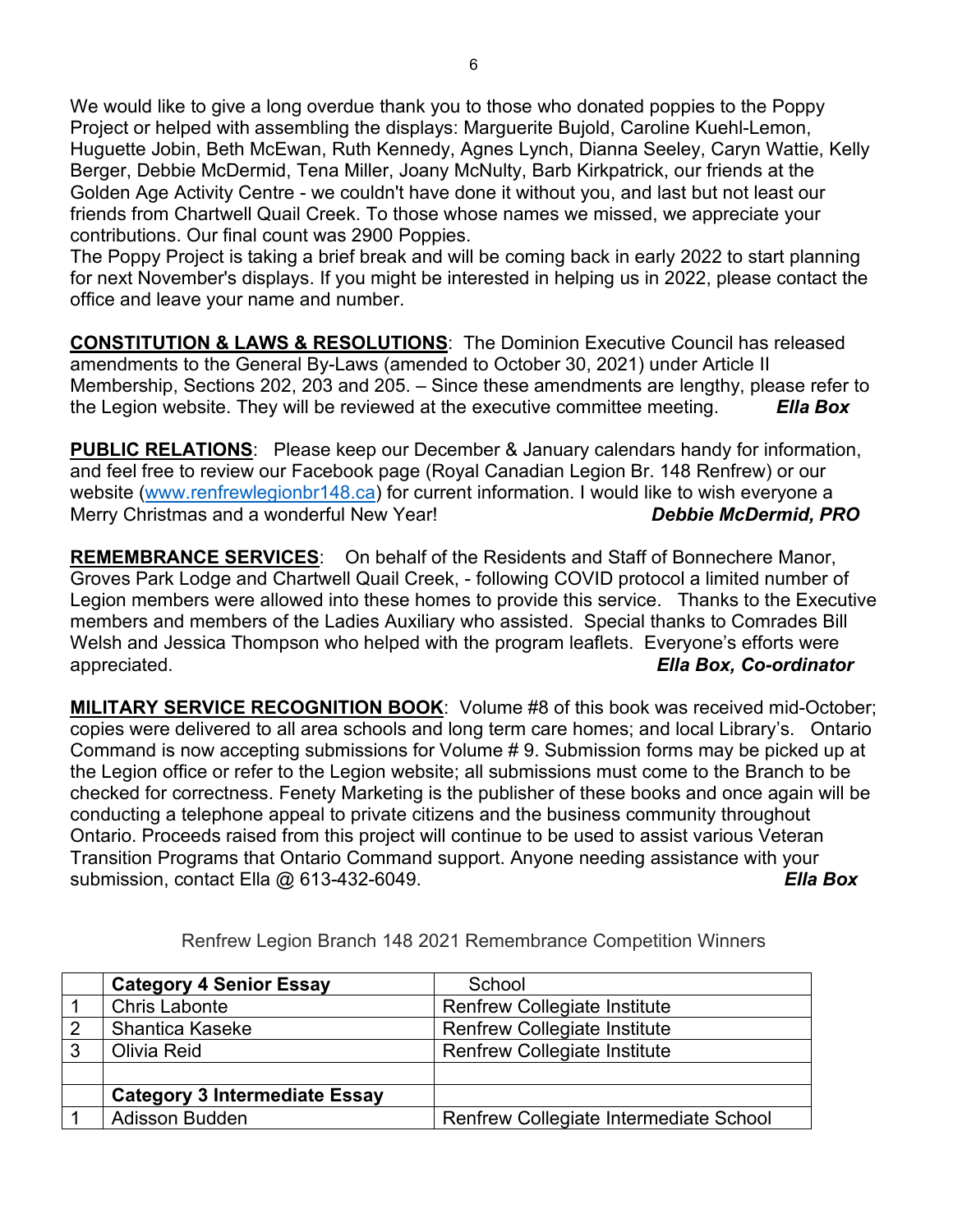We would like to give a long overdue thank you to those who donated poppies to the Poppy Project or helped with assembling the displays: Marguerite Bujold, Caroline Kuehl-Lemon, Huguette Jobin, Beth McEwan, Ruth Kennedy, Agnes Lynch, Dianna Seeley, Caryn Wattie, Kelly Berger, Debbie McDermid, Tena Miller, Joany McNulty, Barb Kirkpatrick, our friends at the Golden Age Activity Centre - we couldn't have done it without you, and last but not least our friends from Chartwell Quail Creek. To those whose names we missed, we appreciate your contributions. Our final count was 2900 Poppies.

The Poppy Project is taking a brief break and will be coming back in early 2022 to start planning for next November's displays. If you might be interested in helping us in 2022, please contact the office and leave your name and number.

**CONSTITUTION & LAWS & RESOLUTIONS**: The Dominion Executive Council has released amendments to the General By-Laws (amended to October 30, 2021) under Article II Membership, Sections 202, 203 and 205. – Since these amendments are lengthy, please refer to the Legion website. They will be reviewed at the executive committee meeting. *Ella Box*

**PUBLIC RELATIONS**: Please keep our December & January calendars handy for information, and feel free to review our Facebook page (Royal Canadian Legion Br. 148 Renfrew) or our website [\(www.renfrewlegionbr148.ca\)](http://www.renfrewlegionbr148.ca/) for current information. I would like to wish everyone a Merry Christmas and a wonderful New Year! *Debbie McDermid, PRO*

**REMEMBRANCE SERVICES**: On behalf of the Residents and Staff of Bonnechere Manor, Groves Park Lodge and Chartwell Quail Creek, - following COVID protocol a limited number of Legion members were allowed into these homes to provide this service. Thanks to the Executive members and members of the Ladies Auxiliary who assisted. Special thanks to Comrades Bill Welsh and Jessica Thompson who helped with the program leaflets. Everyone's efforts were appreciated. *Ella Box, Co-ordinator*

**MILITARY SERVICE RECOGNITION BOOK**: Volume #8 of this book was received mid-October; copies were delivered to all area schools and long term care homes; and local Library's. Ontario Command is now accepting submissions for Volume # 9. Submission forms may be picked up at the Legion office or refer to the Legion website; all submissions must come to the Branch to be checked for correctness. Fenety Marketing is the publisher of these books and once again will be conducting a telephone appeal to private citizens and the business community throughout Ontario. Proceeds raised from this project will continue to be used to assist various Veteran Transition Programs that Ontario Command support. Anyone needing assistance with your submission, contact Ella @ 613-432-6049. *Ella Box*

|                | <b>Category 4 Senior Essay</b>       | School                                 |
|----------------|--------------------------------------|----------------------------------------|
|                | <b>Chris Labonte</b>                 | <b>Renfrew Collegiate Institute</b>    |
| $\overline{2}$ | <b>Shantica Kaseke</b>               | <b>Renfrew Collegiate Institute</b>    |
| $\mathbf{3}$   | Olivia Reid                          | <b>Renfrew Collegiate Institute</b>    |
|                |                                      |                                        |
|                | <b>Category 3 Intermediate Essay</b> |                                        |
|                | <b>Adisson Budden</b>                | Renfrew Collegiate Intermediate School |

Renfrew Legion Branch 148 2021 Remembrance Competition Winners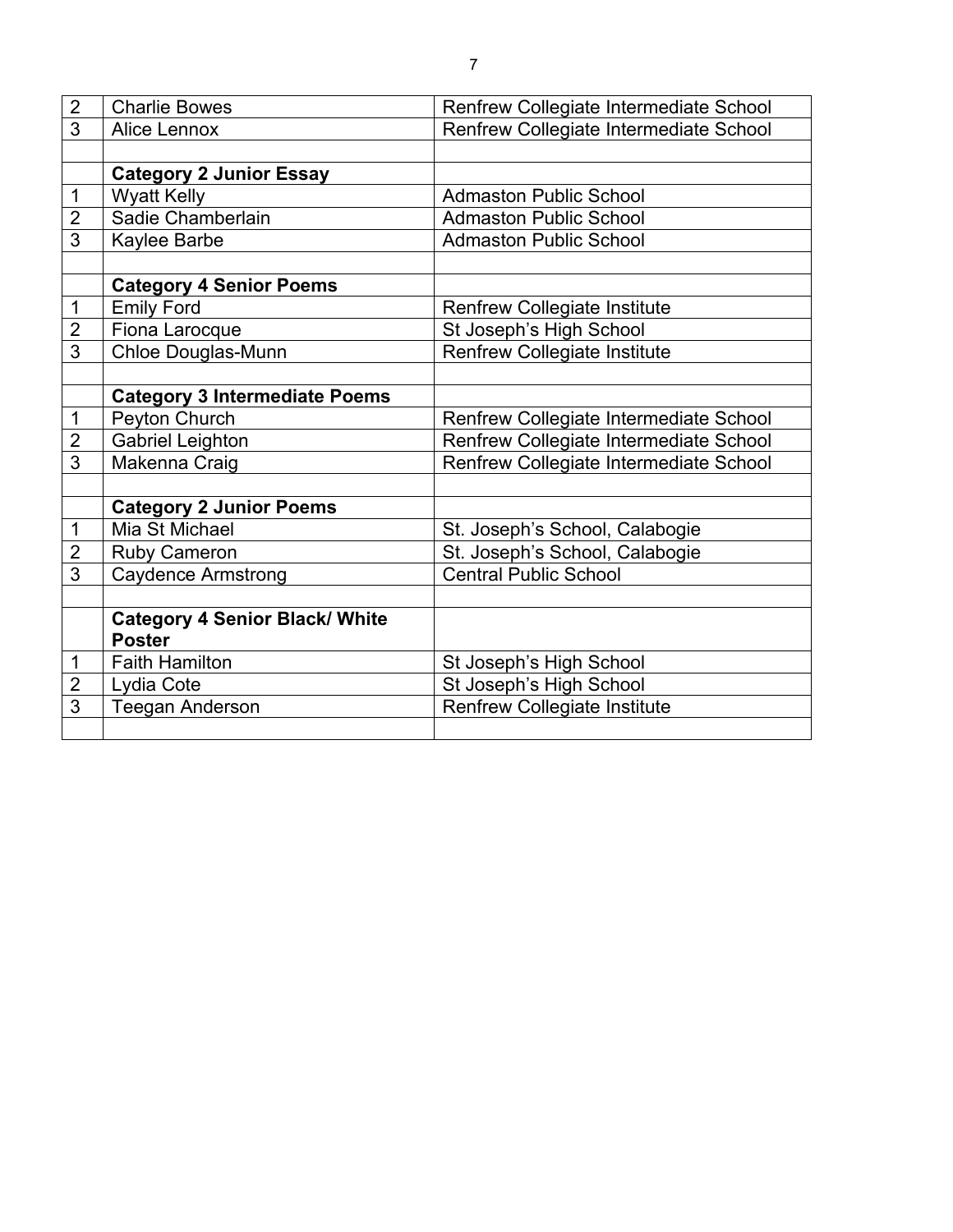| $\overline{2}$ | <b>Charlie Bowes</b>                  | Renfrew Collegiate Intermediate School |
|----------------|---------------------------------------|----------------------------------------|
| $\overline{3}$ | <b>Alice Lennox</b>                   | Renfrew Collegiate Intermediate School |
|                |                                       |                                        |
|                | <b>Category 2 Junior Essay</b>        |                                        |
| $\mathbf 1$    | <b>Wyatt Kelly</b>                    | <b>Admaston Public School</b>          |
| $\overline{2}$ | Sadie Chamberlain                     | <b>Admaston Public School</b>          |
| 3              | Kaylee Barbe                          | <b>Admaston Public School</b>          |
|                |                                       |                                        |
|                | <b>Category 4 Senior Poems</b>        |                                        |
| $\mathbf 1$    | <b>Emily Ford</b>                     | <b>Renfrew Collegiate Institute</b>    |
| $\overline{2}$ | Fiona Larocque                        | St Joseph's High School                |
| $\overline{3}$ | <b>Chloe Douglas-Munn</b>             | <b>Renfrew Collegiate Institute</b>    |
|                |                                       |                                        |
|                | <b>Category 3 Intermediate Poems</b>  |                                        |
| $\mathbf 1$    | Peyton Church                         | Renfrew Collegiate Intermediate School |
| $\overline{2}$ | <b>Gabriel Leighton</b>               | Renfrew Collegiate Intermediate School |
| $\overline{3}$ | Makenna Craig                         | Renfrew Collegiate Intermediate School |
|                |                                       |                                        |
|                | <b>Category 2 Junior Poems</b>        |                                        |
| $\mathbf 1$    | Mia St Michael                        | St. Joseph's School, Calabogie         |
| $\overline{2}$ | <b>Ruby Cameron</b>                   | St. Joseph's School, Calabogie         |
| $\overline{3}$ | <b>Caydence Armstrong</b>             | <b>Central Public School</b>           |
|                |                                       |                                        |
|                | <b>Category 4 Senior Black/ White</b> |                                        |
|                | <b>Poster</b>                         |                                        |
| 1              | <b>Faith Hamilton</b>                 | St Joseph's High School                |
| $\overline{2}$ | Lydia Cote                            | St Joseph's High School                |
| $\overline{3}$ | <b>Teegan Anderson</b>                | <b>Renfrew Collegiate Institute</b>    |
|                |                                       |                                        |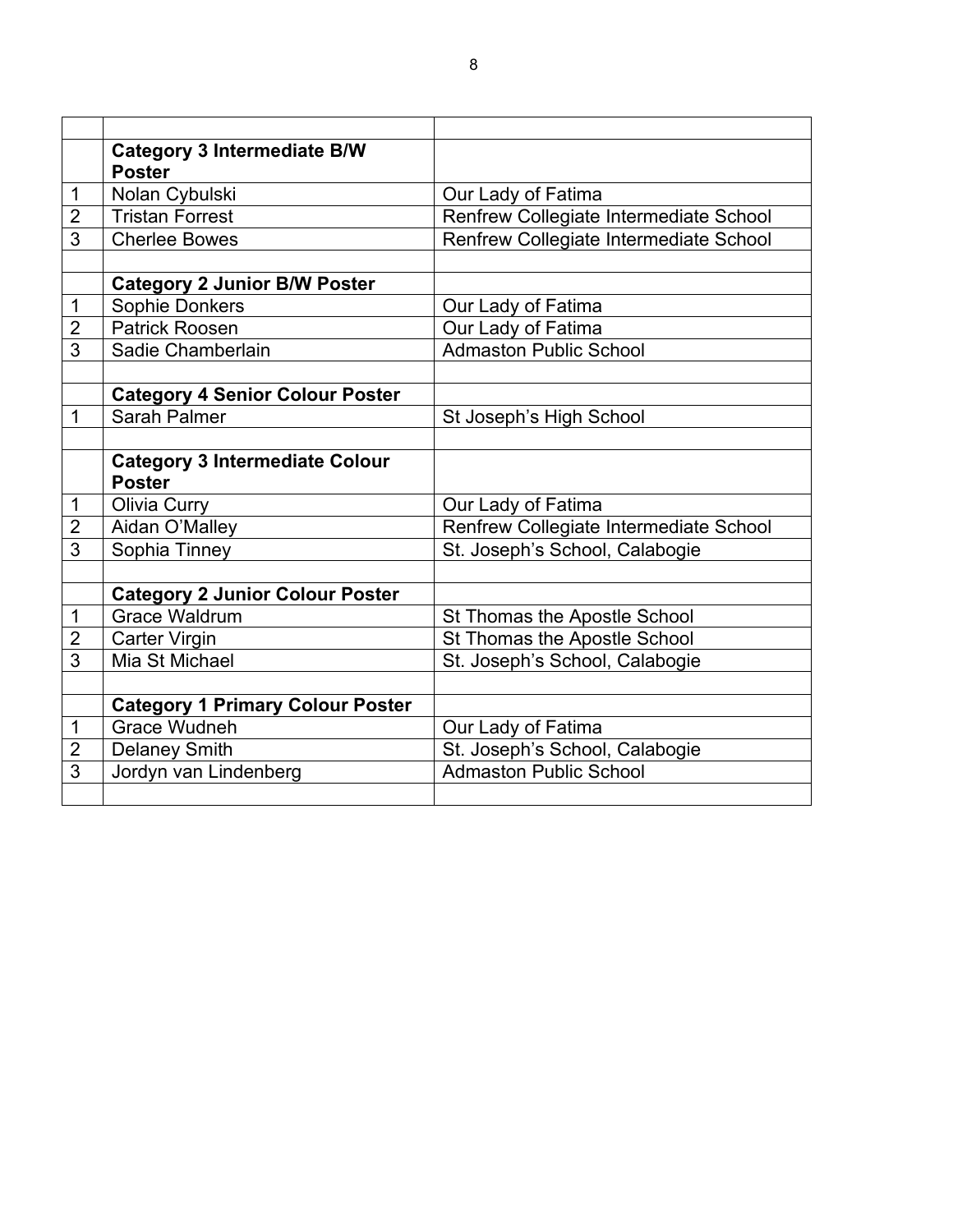|                | <b>Category 3 Intermediate B/W</b><br><b>Poster</b>    |                                        |
|----------------|--------------------------------------------------------|----------------------------------------|
| $\mathbf 1$    | Nolan Cybulski                                         | Our Lady of Fatima                     |
| $\overline{2}$ | <b>Tristan Forrest</b>                                 | Renfrew Collegiate Intermediate School |
| $\overline{3}$ | <b>Cherlee Bowes</b>                                   | Renfrew Collegiate Intermediate School |
|                |                                                        |                                        |
|                | <b>Category 2 Junior B/W Poster</b>                    |                                        |
| $\mathbf 1$    | Sophie Donkers                                         | Our Lady of Fatima                     |
| $\overline{2}$ | <b>Patrick Roosen</b>                                  | Our Lady of Fatima                     |
| $\overline{3}$ | Sadie Chamberlain                                      | <b>Admaston Public School</b>          |
|                |                                                        |                                        |
|                | <b>Category 4 Senior Colour Poster</b>                 |                                        |
| $\mathbf{1}$   | <b>Sarah Palmer</b>                                    | St Joseph's High School                |
|                |                                                        |                                        |
|                | <b>Category 3 Intermediate Colour</b><br><b>Poster</b> |                                        |
| 1              | <b>Olivia Curry</b>                                    | Our Lady of Fatima                     |
| $\overline{2}$ | Aidan O'Malley                                         | Renfrew Collegiate Intermediate School |
| $\overline{3}$ | Sophia Tinney                                          | St. Joseph's School, Calabogie         |
|                |                                                        |                                        |
|                | <b>Category 2 Junior Colour Poster</b>                 |                                        |
| $\mathbf 1$    | <b>Grace Waldrum</b>                                   | St Thomas the Apostle School           |
| $\overline{2}$ | <b>Carter Virgin</b>                                   | St Thomas the Apostle School           |
| $\overline{3}$ | Mia St Michael                                         | St. Joseph's School, Calabogie         |
|                |                                                        |                                        |
|                | <b>Category 1 Primary Colour Poster</b>                |                                        |
| $\mathbf 1$    | <b>Grace Wudneh</b>                                    | Our Lady of Fatima                     |
| $\overline{2}$ | <b>Delaney Smith</b>                                   | St. Joseph's School, Calabogie         |
| $\overline{3}$ | Jordyn van Lindenberg                                  | <b>Admaston Public School</b>          |
|                |                                                        |                                        |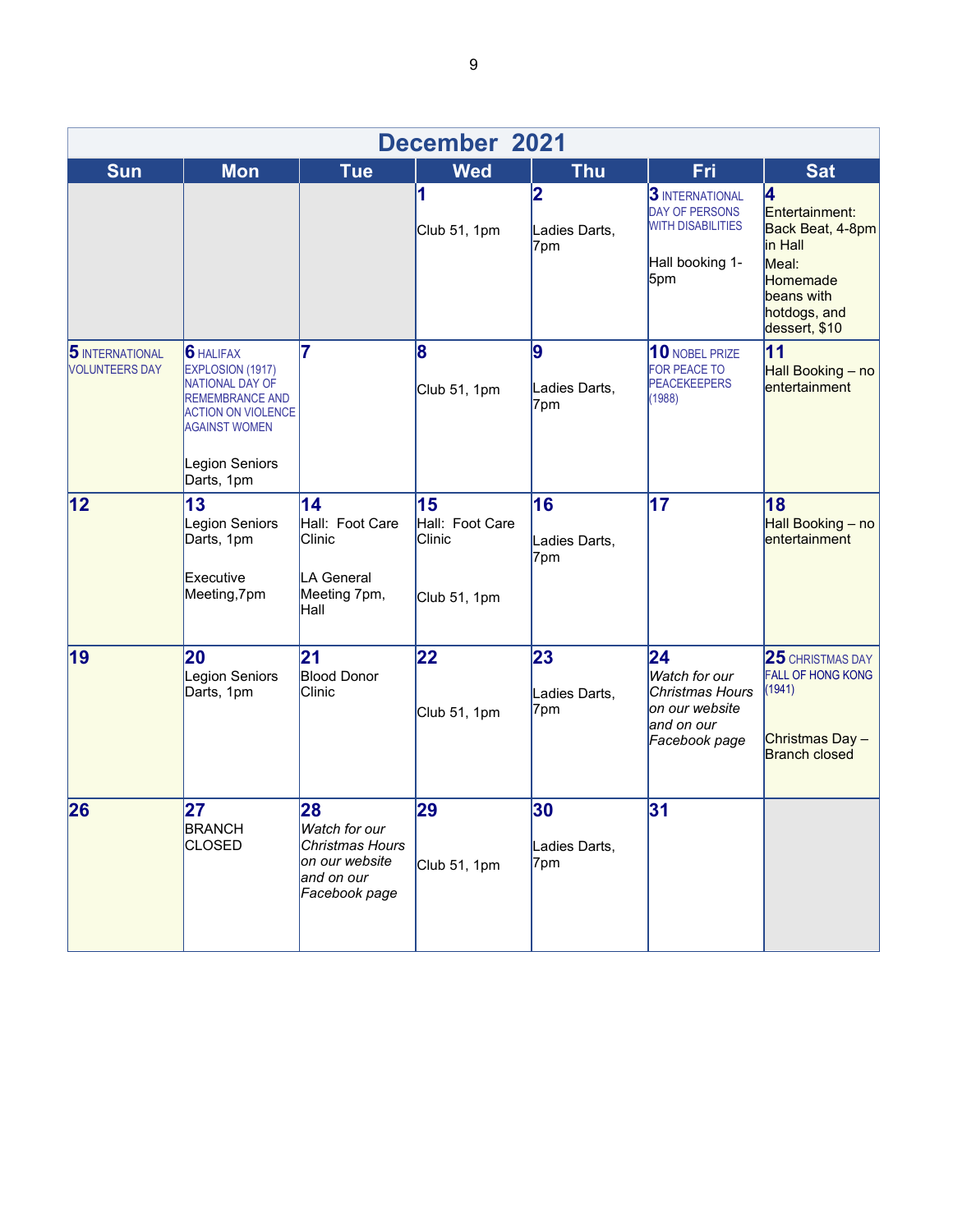| December 2021                                   |                                                                                                                                                                        |                                                                                         |                                                 |                                        |                                                                                                       |                                                                                                                        |
|-------------------------------------------------|------------------------------------------------------------------------------------------------------------------------------------------------------------------------|-----------------------------------------------------------------------------------------|-------------------------------------------------|----------------------------------------|-------------------------------------------------------------------------------------------------------|------------------------------------------------------------------------------------------------------------------------|
| <b>Sun</b>                                      | <b>Mon</b>                                                                                                                                                             | <b>Tue</b>                                                                              | <b>Wed</b>                                      | <b>Thu</b>                             | <b>Fri</b>                                                                                            | <b>Sat</b>                                                                                                             |
|                                                 |                                                                                                                                                                        |                                                                                         | 1<br>Club 51, 1pm                               | 2<br>Ladies Darts,<br>7pm              | <b>3 INTERNATIONAL</b><br><b>DAY OF PERSONS</b><br><b>WITH DISABILITIES</b><br>Hall booking 1-<br>5pm | 4<br>Entertainment:<br>Back Beat, 4-8pm<br>in Hall<br>Meal:<br>Homemade<br>beans with<br>hotdogs, and<br>dessert, \$10 |
| <b>5</b> INTERNATIONAL<br><b>VOLUNTEERS DAY</b> | <b>6</b> HALIFAX<br>EXPLOSION (1917)<br>NATIONAL DAY OF<br><b>REMEMBRANCE AND</b><br><b>ACTION ON VIOLENCE</b><br><b>AGAINST WOMEN</b><br>Legion Seniors<br>Darts, 1pm | 17                                                                                      | 8<br>Club 51, 1pm                               | 9<br>Ladies Darts,<br>7pm              | <b>10 NOBEL PRIZE</b><br>FOR PEACE TO<br><b>PEACEKEEPERS</b><br>(1988)                                | 11<br>Hall Booking - no<br>entertainment                                                                               |
| 12                                              | 13<br>Legion Seniors<br>Darts, 1pm<br>Executive<br>Meeting,7pm                                                                                                         | $\overline{14}$<br>Hall: Foot Care<br>Clinic<br>LA General<br>Meeting 7pm,<br>Hall      | 15<br>Hall: Foot Care<br>Clinic<br>Club 51, 1pm | 16<br>Ladies Darts,<br>7 <sub>pm</sub> | 17                                                                                                    | 18<br>Hall Booking - no<br>entertainment                                                                               |
| 19                                              | 20<br>Legion Seniors<br>Darts, 1pm                                                                                                                                     | 21<br><b>Blood Donor</b><br>Clinic                                                      | 22<br>Club 51, 1pm                              | 23<br>Ladies Darts,<br>7 <sub>pm</sub> | 24<br>Watch for our<br>Christmas Hours<br>on our website<br>and on our<br>Facebook page               | 25 CHRISTMAS DAY<br><b>FALL OF HONG KONG</b><br>(1941)<br>Christmas Day -<br><b>Branch closed</b>                      |
| 26                                              | 27<br><b>BRANCH</b><br><b>CLOSED</b>                                                                                                                                   | 28<br>Watch for our<br>Christmas Hours<br>on our website<br>and on our<br>Facebook page | 29<br>Club 51, 1pm                              | 30<br>Ladies Darts,<br>7pm             | 31                                                                                                    |                                                                                                                        |